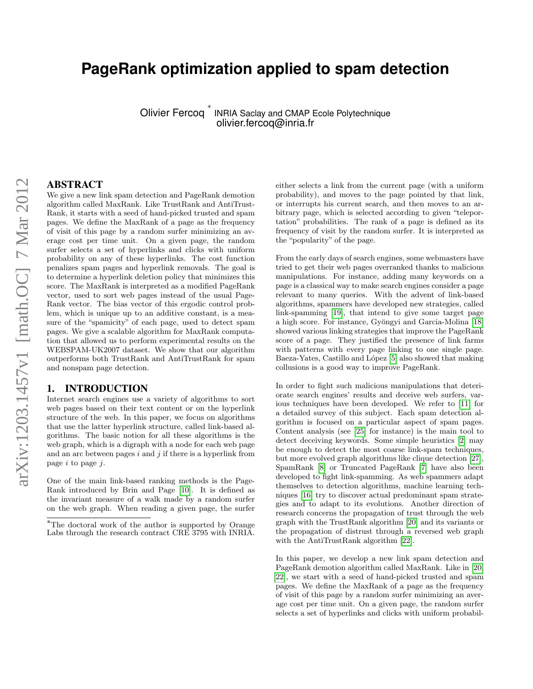# **PageRank optimization applied to spam detection**

Olivier Fercoq ∗

INRIA Saclay and CMAP Ecole Polytechnique olivier.fercoq@inria.fr

#### ABSTRACT

We give a new link spam detection and PageRank demotion algorithm called MaxRank. Like TrustRank and AntiTrust-Rank, it starts with a seed of hand-picked trusted and spam pages. We define the MaxRank of a page as the frequency of visit of this page by a random surfer minimizing an average cost per time unit. On a given page, the random surfer selects a set of hyperlinks and clicks with uniform probability on any of these hyperlinks. The cost function penalizes spam pages and hyperlink removals. The goal is to determine a hyperlink deletion policy that minimizes this score. The MaxRank is interpreted as a modified PageRank vector, used to sort web pages instead of the usual Page-Rank vector. The bias vector of this ergodic control problem, which is unique up to an additive constant, is a measure of the "spamicity" of each page, used to detect spam pages. We give a scalable algorithm for MaxRank computation that allowed us to perform experimental results on the WEBSPAM-UK2007 dataset. We show that our algorithm outperforms both TrustRank and AntiTrustRank for spam and nonspam page detection.

#### 1. INTRODUCTION

Internet search engines use a variety of algorithms to sort web pages based on their text content or on the hyperlink structure of the web. In this paper, we focus on algorithms that use the latter hyperlink structure, called link-based algorithms. The basic notion for all these algorithms is the web graph, which is a digraph with a node for each web page and an arc between pages  $i$  and  $j$  if there is a hyperlink from page  $i$  to page  $j$ .

One of the main link-based ranking methods is the Page-Rank introduced by Brin and Page [\[10\]](#page-7-0). It is defined as the invariant measure of a walk made by a random surfer on the web graph. When reading a given page, the surfer either selects a link from the current page (with a uniform probability), and moves to the page pointed by that link, or interrupts his current search, and then moves to an arbitrary page, which is selected according to given "teleportation" probabilities. The rank of a page is defined as its frequency of visit by the random surfer. It is interpreted as the "popularity" of the page.

From the early days of search engines, some webmasters have tried to get their web pages overranked thanks to malicious manipulations. For instance, adding many keywords on a page is a classical way to make search engines consider a page relevant to many queries. With the advent of link-based algorithms, spammers have developed new strategies, called link-spamming [\[19\]](#page-7-1), that intend to give some target page a high score. For instance, Gyöngyi and Garcia-Molina [\[18\]](#page-7-2) showed various linking strategies that improve the PageRank score of a page. They justified the presence of link farms with patterns with every page linking to one single page. Baeza-Yates, Castillo and López [\[5\]](#page-5-0) also showed that making collusions is a good way to improve PageRank.

In order to fight such malicious manipulations that deteriorate search engines' results and deceive web surfers, various techniques have been developed. We refer to [\[11\]](#page-7-3) for a detailed survey of this subject. Each spam detection algorithm is focused on a particular aspect of spam pages. Content analysis (see [\[25\]](#page-7-4) for instance) is the main tool to detect deceiving keywords. Some simple heuristics [\[2\]](#page-5-1) may be enough to detect the most coarse link-spam techniques, but more evolved graph algorithms like clique detection [\[27\]](#page-7-5), SpamRank [\[8\]](#page-7-6) or Truncated PageRank [\[7\]](#page-7-7) have also been developed to fight link-spamming. As web spammers adapt themselves to detection algorithms, machine learning techniques [\[16\]](#page-7-8) try to discover actual predominant spam strategies and to adapt to its evolutions. Another direction of research concerns the propagation of trust through the web graph with the TrustRank algorithm [\[20\]](#page-7-9) and its variants or the propagation of distrust through a reversed web graph with the AntiTrustRank algorithm [\[22\]](#page-7-10).

In this paper, we develop a new link spam detection and PageRank demotion algorithm called MaxRank. Like in [\[20,](#page-7-9) [22\]](#page-7-10), we start with a seed of hand-picked trusted and spam pages. We define the MaxRank of a page as the frequency of visit of this page by a random surfer minimizing an average cost per time unit. On a given page, the random surfer selects a set of hyperlinks and clicks with uniform probabil-

<sup>∗</sup>The doctoral work of the author is supported by Orange Labs through the research contract CRE 3795 with INRIA.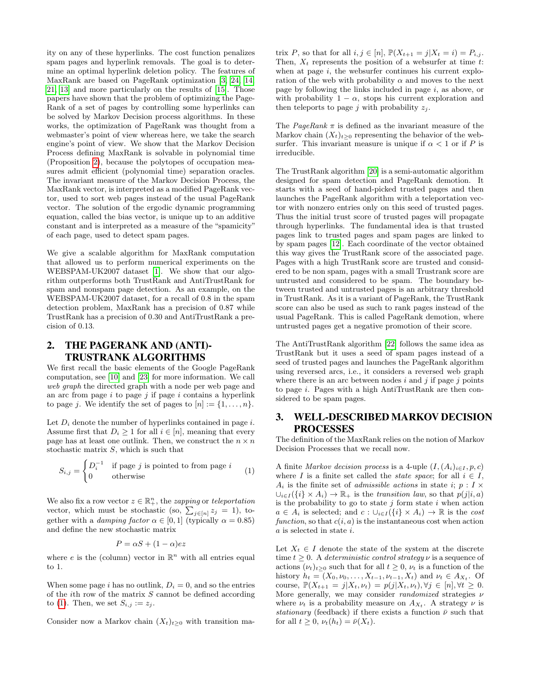ity on any of these hyperlinks. The cost function penalizes spam pages and hyperlink removals. The goal is to determine an optimal hyperlink deletion policy. The features of MaxRank are based on PageRank optimization [\[3,](#page-5-2) [24,](#page-7-11) [14,](#page-7-12) [21,](#page-7-13) [13\]](#page-7-14) and more particularly on the results of [\[15\]](#page-7-15). Those papers have shown that the problem of optimizing the Page-Rank of a set of pages by controlling some hyperlinks can be solved by Markov Decision process algorithms. In these works, the optimization of PageRank was thought from a webmaster's point of view whereas here, we take the search engine's point of view. We show that the Markov Decision Process defining MaxRank is solvable in polynomial time (Proposition [2\)](#page-3-0), because the polytopes of occupation measures admit efficient (polynomial time) separation oracles. The invariant measure of the Markov Decision Process, the MaxRank vector, is interpreted as a modified PageRank vector, used to sort web pages instead of the usual PageRank vector. The solution of the ergodic dynamic programming equation, called the bias vector, is unique up to an additive constant and is interpreted as a measure of the "spamicity" of each page, used to detect spam pages.

We give a scalable algorithm for MaxRank computation that allowed us to perform numerical experiments on the WEBSPAM-UK2007 dataset [\[1\]](#page-5-3). We show that our algorithm outperforms both TrustRank and AntiTrustRank for spam and nonspam page detection. As an example, on the WEBSPAM-UK2007 dataset, for a recall of 0.8 in the spam detection problem, MaxRank has a precision of 0.87 while TrustRank has a precision of 0.30 and AntiTrustRank a precision of 0.13.

## 2. THE PAGERANK AND (ANTI)- TRUSTRANK ALGORITHMS

We first recall the basic elements of the Google PageRank computation, see [\[10\]](#page-7-0) and [\[23\]](#page-7-16) for more information. We call web graph the directed graph with a node per web page and an arc from page  $i$  to page  $j$  if page  $i$  contains a hyperlink to page j. We identify the set of pages to  $[n] := \{1, \ldots, n\}.$ 

Let  $D_i$  denote the number of hyperlinks contained in page i. Assume first that  $D_i \geq 1$  for all  $i \in [n]$ , meaning that every page has at least one outlink. Then, we construct the  $n \times n$ stochastic matrix  $S$ , which is such that

$$
S_{i,j} = \begin{cases} D_i^{-1} & \text{if page } j \text{ is pointed to from page } i \\ 0 & \text{otherwise} \end{cases}
$$
 (1)

We also fix a row vector  $z \in \mathbb{R}^n_+$ , the *zapping* or *teleportation* vector, which must be stochastic (so,  $\sum_{j \in [n]} z_j = 1$ ), together with a *damping factor*  $\alpha \in [0, 1]$  (typically  $\alpha = 0.85$ ) and define the new stochastic matrix

$$
P = \alpha S + (1 - \alpha) e z
$$

where e is the (column) vector in  $\mathbb{R}^n$  with all entries equal to 1.

When some page i has no outlink,  $D_i = 0$ , and so the entries of the *i*th row of the matrix  $S$  cannot be defined according to [\(1\)](#page-1-0). Then, we set  $S_{i,j} := z_j$ .

Consider now a Markov chain  $(X_t)_{t>0}$  with transition ma-

trix P, so that for all  $i, j \in [n]$ ,  $\mathbb{P}(X_{t+1} = j | X_t = i) = P_{i,j}$ . Then,  $X_t$  represents the position of a websurfer at time t: when at page  $i$ , the websurfer continues his current exploration of the web with probability  $\alpha$  and moves to the next page by following the links included in page  $i$ , as above, or with probability  $1 - \alpha$ , stops his current exploration and then teleports to page j with probability  $z_i$ .

The *PageRank*  $\pi$  is defined as the invariant measure of the Markov chain  $(X_t)_{t\geq0}$  representing the behavior of the websurfer. This invariant measure is unique if  $\alpha < 1$  or if P is irreducible.

The TrustRank algorithm [\[20\]](#page-7-9) is a semi-automatic algorithm designed for spam detection and PageRank demotion. It starts with a seed of hand-picked trusted pages and then launches the PageRank algorithm with a teleportation vector with nonzero entries only on this seed of trusted pages. Thus the initial trust score of trusted pages will propagate through hyperlinks. The fundamental idea is that trusted pages link to trusted pages and spam pages are linked to by spam pages [\[12\]](#page-7-17). Each coordinate of the vector obtained this way gives the TrustRank score of the associated page. Pages with a high TrustRank score are trusted and considered to be non spam, pages with a small Trustrank score are untrusted and considered to be spam. The boundary between trusted and untrusted pages is an arbitrary threshold in TrustRank. As it is a variant of PageRank, the TrustRank score can also be used as such to rank pages instead of the usual PageRank. This is called PageRank demotion, where untrusted pages get a negative promotion of their score.

The AntiTrustRank algorithm [\[22\]](#page-7-10) follows the same idea as TrustRank but it uses a seed of spam pages instead of a seed of trusted pages and launches the PageRank algorithm using reversed arcs, i.e., it considers a reversed web graph where there is an arc between nodes  $i$  and  $j$  if page  $j$  points to page i. Pages with a high AntiTrustRank are then considered to be spam pages.

## 3. WELL-DESCRIBED MARKOV DECISION PROCESSES

The definition of the MaxRank relies on the notion of Markov Decision Processes that we recall now.

<span id="page-1-0"></span>A finite Markov decision process is a 4-uple  $(I, (A_i)_{i \in I}, p, c)$ where I is a finite set called the *state space*; for all  $i \in I$ ,  $A_i$  is the finite set of *admissible actions* in state *i*;  $p: I \times I$  $\bigcup_{i\in I} (\{i\} \times A_i) \to \mathbb{R}_+$  is the transition law, so that  $p(j|i, a)$ is the probability to go to state  $j$  form state  $i$  when action  $a \in A_i$  is selected; and  $c : \bigcup_{i \in I} (\{i\} \times A_i) \to \mathbb{R}$  is the cost function, so that  $c(i, a)$  is the instantaneous cost when action a is selected in state i.

Let  $X_t \in I$  denote the state of the system at the discrete time  $t > 0$ . A *deterministic control strategy*  $\nu$  is a sequence of actions  $(\nu_t)_{t>0}$  such that for all  $t \geq 0$ ,  $\nu_t$  is a function of the history  $h_t = (X_0, \nu_0, \dots, X_{t-1}, \nu_{t-1}, X_t)$  and  $\nu_t \in A_{X_t}$ . Of course,  $\mathbb{P}(X_{t+1} = j | X_t, \nu_t) = p(j | X_t, \nu_t), \forall j \in [n], \forall t \geq 0.$ More generally, we may consider *randomized* strategies  $\nu$ where  $\nu_t$  is a probability measure on  $A_{X_t}$ . A strategy  $\nu$  is stationary (feedback) if there exists a function  $\bar{\nu}$  such that for all  $t \geq 0$ ,  $\nu_t(h_t) = \bar{\nu}(X_t)$ .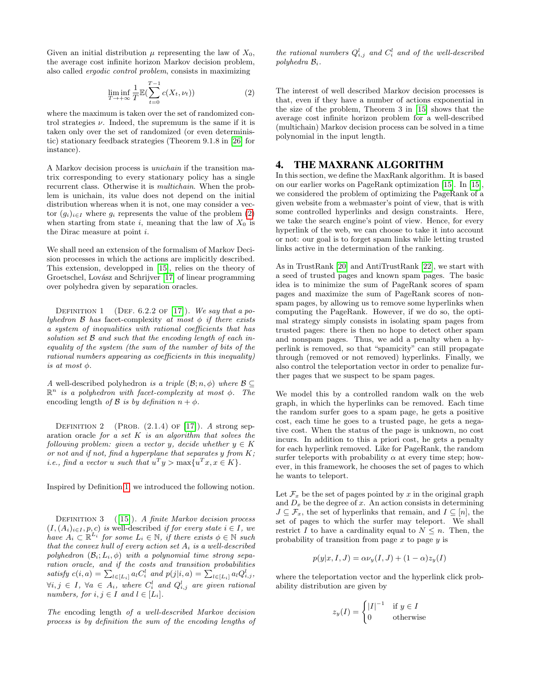Given an initial distribution  $\mu$  representing the law of  $X_0$ , the average cost infinite horizon Markov decision problem, also called ergodic control problem, consists in maximizing

<span id="page-2-0"></span>
$$
\liminf_{T \to +\infty} \frac{1}{T} \mathbb{E} \left( \sum_{t=0}^{T-1} c(X_t, \nu_t) \right) \tag{2}
$$

where the maximum is taken over the set of randomized control strategies  $\nu$ . Indeed, the supremum is the same if it is taken only over the set of randomized (or even deterministic) stationary feedback strategies (Theorem 9.1.8 in [\[26\]](#page-7-18) for instance).

A Markov decision process is unichain if the transition matrix corresponding to every stationary policy has a single recurrent class. Otherwise it is multichain. When the problem is unichain, its value does not depend on the initial distribution whereas when it is not, one may consider a vector  $(q_i)_{i\in I}$  where  $q_i$  represents the value of the problem [\(2\)](#page-2-0) when starting from state i, meaning that the law of  $X_0$  is the Dirac measure at point i.

We shall need an extension of the formalism of Markov Decision processes in which the actions are implicitly described. This extension, developped in [\[15\]](#page-7-15), relies on the theory of Groetschel, Lovász and Schrijver [\[17\]](#page-7-19) of linear programming over polyhedra given by separation oracles.

<span id="page-2-1"></span>DEFINITION 1 (DEF. 6.2.2 OF [\[17\]](#page-7-19)). We say that a polyhedron  $\beta$  has facet-complexity at most  $\phi$  if there exists a system of inequalities with rational coefficients that has solution set B and such that the encoding length of each inequality of the system (the sum of the number of bits of the rational numbers appearing as coefficients in this inequality) is at most  $\phi$ .

A well-described polyhedron is a triple  $(\mathcal{B}; n, \phi)$  where  $\mathcal{B} \subset$  $\mathbb{R}^n$  is a polyhedron with facet-complexity at most  $\phi$ . The encoding length of B is by definition  $n + \phi$ .

DEFINITION 2 (PROB.  $(2.1.4)$  OF [\[17\]](#page-7-19)). A strong separation oracle for a set  $K$  is an algorithm that solves the following problem: given a vector y, decide whether  $y \in K$ or not and if not, find a hyperplane that separates  $y$  from  $K$ ; *i.e.*, find a vector u such that  $u^T y > \max\{u^T x, x \in K\}.$ 

Inspired by Definition [1,](#page-2-1) we introduced the following notion.

DEFINITION  $3$  ([\[15\]](#page-7-15)). A finite Markov decision process  $(I,(A_i)_{i\in I}, p, c)$  is well-described if for every state  $i \in I$ , we have  $A_i \subset \mathbb{R}^{L_i}$  for some  $L_i \in \mathbb{N}$ , if there exists  $\phi \in \mathbb{N}$  such that the convex hull of every action set  $A_i$  is a well-described polyhedron  $(\mathcal{B}_i; L_i, \phi)$  with a polynomial time strong separation oracle, and if the costs and transition probabilities satisfy  $c(i, a) = \sum_{l \in [L_i]} a_l C_i^l$  and  $p(j|i, a) = \sum_{l \in [L_i]} a_l Q_{i,j}^l$ ,  $\forall i,j \in I, \ \forall a \in A_i, \ where \ C_i^l \ and \ Q_{i,j}^l \ are \ given \ rational$ numbers, for  $i, j \in I$  and  $l \in [L_i]$ .

The encoding length of a well-described Markov decision process is by definition the sum of the encoding lengths of

the rational numbers  $Q_{i,j}^l$  and  $C_i^l$  and of the well-described polyhedra  $\mathcal{B}_i$ .

The interest of well described Markov decision processes is that, even if they have a number of actions exponential in the size of the problem, Theorem 3 in [\[15\]](#page-7-15) shows that the average cost infinite horizon problem for a well-described (multichain) Markov decision process can be solved in a time polynomial in the input length.

# 4. THE MAXRANK ALGORITHM

In this section, we define the MaxRank algorithm. It is based on our earlier works on PageRank optimization [\[15\]](#page-7-15). In [\[15\]](#page-7-15), we considered the problem of optimizing the PageRank of a given website from a webmaster's point of view, that is with some controlled hyperlinks and design constraints. Here, we take the search engine's point of view. Hence, for every hyperlink of the web, we can choose to take it into account or not: our goal is to forget spam links while letting trusted links active in the determination of the ranking.

As in TrustRank [\[20\]](#page-7-9) and AntiTrustRank [\[22\]](#page-7-10), we start with a seed of trusted pages and known spam pages. The basic idea is to minimize the sum of PageRank scores of spam pages and maximize the sum of PageRank scores of nonspam pages, by allowing us to remove some hyperlinks when computing the PageRank. However, if we do so, the optimal strategy simply consists in isolating spam pages from trusted pages: there is then no hope to detect other spam and nonspam pages. Thus, we add a penalty when a hyperlink is removed, so that "spamicity" can still propagate through (removed or not removed) hyperlinks. Finally, we also control the teleportation vector in order to penalize further pages that we suspect to be spam pages.

We model this by a controlled random walk on the web graph, in which the hyperlinks can be removed. Each time the random surfer goes to a spam page, he gets a positive cost, each time he goes to a trusted page, he gets a negative cost. When the status of the page is unknown, no cost incurs. In addition to this a priori cost, he gets a penalty for each hyperlink removed. Like for PageRank, the random surfer teleports with probability  $\alpha$  at every time step; however, in this framework, he chooses the set of pages to which he wants to teleport.

Let  $\mathcal{F}_x$  be the set of pages pointed by x in the original graph and  $D_x$  be the degree of x. An action consists in determining  $J \subseteq \mathcal{F}_x$ , the set of hyperlinks that remain, and  $I \subseteq [n]$ , the set of pages to which the surfer may teleport. We shall restrict I to have a cardinality equal to  $N \leq n$ . Then, the probability of transition from page  $x$  to page  $y$  is

$$
p(y|x, I, J) = \alpha \nu_y(I, J) + (1 - \alpha)z_y(I)
$$

where the teleportation vector and the hyperlink click probability distribution are given by

$$
z_y(I) = \begin{cases} |I|^{-1} & \text{if } y \in I \\ 0 & \text{otherwise} \end{cases}
$$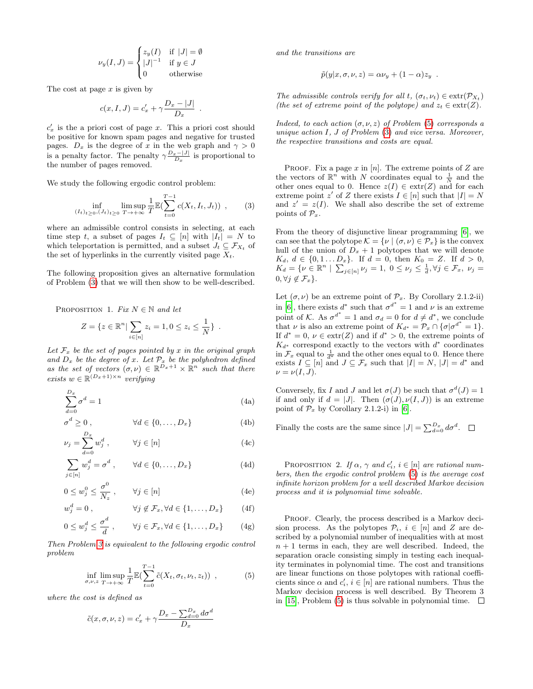$$
\nu_y(I,J) = \begin{cases} z_y(I) & \text{if } |J| = \emptyset \\ |J|^{-1} & \text{if } y \in J \\ 0 & \text{otherwise} \end{cases}
$$

The cost at page  $x$  is given by

$$
c(x, I, J) = c'_x + \gamma \frac{D_x - |J|}{D_x}
$$

.

 $c'_x$  is the a priori cost of page x. This a priori cost should be positive for known spam pages and negative for trusted pages.  $D_x$  is the degree of x in the web graph and  $\gamma > 0$ is a penalty factor. The penalty  $\gamma \frac{D_x-|J|}{D_x}$  is proportional to the number of pages removed.

We study the following ergodic control problem:

$$
\inf_{(I_t)_{t\geq 0}, (J_t)_{t\geq 0}} \limsup_{T \to +\infty} \frac{1}{T} \mathbb{E}(\sum_{t=0}^{T-1} c(X_t, I_t, J_t)) ,\qquad (3)
$$

where an admissible control consists in selecting, at each time step t, a subset of pages  $I_t \subseteq [n]$  with  $|I_t| = N$  to which teleportation is permitted, and a subset  $J_t \subseteq \mathcal{F}_{X_t}$  of the set of hyperlinks in the currently visited page  $X_t$ .

<span id="page-3-3"></span>The following proposition gives an alternative formulation of Problem [\(3\)](#page-3-1) that we will then show to be well-described.

PROPOSITION 1. Fix  $N \in \mathbb{N}$  and let

$$
Z = \{ z \in \mathbb{R}^n \mid \sum_{i \in [n]} z_i = 1, 0 \le z_i \le \frac{1}{N} \} .
$$

Let  $\mathcal{F}_x$  be the set of pages pointed by x in the original graph and  $D_x$  be the degree of x. Let  $\mathcal{P}_x$  be the polyhedron defined as the set of vectors  $(\sigma, \nu) \in \mathbb{R}^{D_x+1} \times \mathbb{R}^n$  such that there exists  $w \in \mathbb{R}^{(D_x+1)\times n}$  verifying

$$
\sum_{d=0}^{D_x} \sigma^d = 1\tag{4a}
$$

$$
\sigma^d \ge 0, \qquad \forall d \in \{0, \dots, D_x\} \tag{4b}
$$

$$
\nu_j = \sum_{d=0}^{D_x} w_j^d , \qquad \forall j \in [n]
$$
\n(4c)

$$
\sum_{j \in [n]} w_j^d = \sigma^d , \qquad \forall d \in \{0, \dots, D_x\}
$$
 (4d)

$$
0 \le w_j^0 \le \frac{\sigma^0}{N_z}, \qquad \forall j \in [n]
$$
 (4e)

$$
w_j^d = 0 , \qquad \forall j \notin \mathcal{F}_x, \forall d \in \{1, \dots, D_x\} \qquad (4f)
$$

$$
0 \le w_j^d \le \frac{\sigma^d}{d}, \qquad \forall j \in \mathcal{F}_x, \forall d \in \{1, \dots, D_x\} \tag{4g}
$$

Then Problem [3](#page-3-1) is equivalent to the following ergodic control problem

$$
\inf_{\sigma,\nu,z} \limsup_{T \to +\infty} \frac{1}{T} \mathbb{E} \left( \sum_{t=0}^{T-1} \tilde{c}(X_t, \sigma_t, \nu_t, z_t) \right) , \tag{5}
$$

where the cost is defined as

$$
\tilde{c}(x, \sigma, \nu, z) = c'_x + \gamma \frac{D_x - \sum_{d=0}^{D_x} d\sigma^d}{D_x}
$$

and the transitions are

$$
\tilde{p}(y|x,\sigma,\nu,z) = \alpha \nu_y + (1-\alpha)z_y.
$$

The admissible controls verify for all t,  $(\sigma_t, \nu_t) \in \text{extr}(\mathcal{P}_{X_t})$ (the set of extreme point of the polytope) and  $z_t \in \text{extr}(Z)$ .

Indeed, to each action  $(\sigma, \nu, z)$  of Problem [\(5\)](#page-3-2) corresponds a unique action  $I, J$  of Problem  $(3)$  and vice versa. Moreover, the respective transitions and costs are equal.

<span id="page-3-1"></span>PROOF. Fix a page  $x$  in  $[n]$ . The extreme points of  $Z$  are the vectors of  $\mathbb{R}^n$  with N coordinates equal to  $\frac{1}{N}$  and the other ones equal to 0. Hence  $z(I) \in \text{extr}(Z)$  and for each extreme point z' of Z there exists  $I \in [n]$  such that  $|I| = N$ and  $z' = z(I)$ . We shall also describe the set of extreme points of  $\mathcal{P}_x$ .

From the theory of disjunctive linear programming [\[6\]](#page-7-20), we can see that the polytope  $\mathcal{K} = \{ \nu \mid (\sigma, \nu) \in \mathcal{P}_x \}$  is the convex hull of the union of  $D_x + 1$  polytopes that we will denote  $K_d, d \in \{0, 1 \dots D_x\}.$  If  $d = 0$ , then  $K_0 = Z$ . If  $d > 0$ ,  $K_d = \{ \nu \in \mathbb{R}^n \mid \sum_{j \in [n]} \nu_j = 1, 0 \le \nu_j \le \frac{1}{d}, \forall j \in \mathcal{F}_x, \nu_j =$  $0, \forall j \notin \mathcal{F}_x$ .

Let  $(\sigma, \nu)$  be an extreme point of  $\mathcal{P}_x$ . By Corollary 2.1.2-ii) in [\[6\]](#page-7-20), there exists  $d^*$  such that  $\sigma^{d^*} = 1$  and  $\nu$  is an extreme point of K. As  $\sigma^{d^*} = 1$  and  $\sigma_d = 0$  for  $d \neq d^*$ , we conclude that  $\nu$  is also an extreme point of  $K_{d^*} = \mathcal{P}_x \cap {\sigma | \sigma^{d^*} = 1}.$ If  $d^* = 0$ ,  $\nu \in \text{extr}(Z)$  and if  $d^* > 0$ , the extreme points of  $K_{d^*}$  correspond exactly to the vectors with  $d^*$  coordinates in  $\mathcal{F}_x$  equal to  $\frac{1}{d^*}$  and the other ones equal to 0. Hence there exists  $I \subseteq [n]$  and  $J \subseteq \mathcal{F}_x$  such that  $|I| = N$ ,  $|J| = d^*$  and  $\nu = \nu(I, J).$ 

Conversely, fix I and J and let  $\sigma(J)$  be such that  $\sigma^d(J) = 1$ if and only if  $d = |J|$ . Then  $(\sigma(J), \nu(I, J))$  is an extreme point of  $\mathcal{P}_x$  by Corollary 2.1.2-i) in [\[6\]](#page-7-20).

Finally the costs are the same since  $|J| = \sum_{d=0}^{D_x} d\sigma^d$ .

<span id="page-3-0"></span>PROPOSITION 2. If  $\alpha$ ,  $\gamma$  and  $c'_i$ ,  $i \in [n]$  are rational numbers, then the ergodic control problem [\(5\)](#page-3-2) is the average cost infinite horizon problem for a well described Markov decision process and it is polynomial time solvable.

<span id="page-3-2"></span>PROOF. Clearly, the process described is a Markov decision process. As the polytopes  $\mathcal{P}_i$ ,  $i \in [n]$  and Z are described by a polynomial number of inequalities with at most  $n + 1$  terms in each, they are well described. Indeed, the separation oracle consisting simply in testing each inequality terminates in polynomial time. The cost and transitions are linear functions on those polytopes with rational coefficients since  $\alpha$  and  $c'_i$ ,  $i \in [n]$  are rational numbers. Thus the Markov decision process is well described. By Theorem 3 in [\[15\]](#page-7-15), Problem [\(5\)](#page-3-2) is thus solvable in polynomial time.  $\square$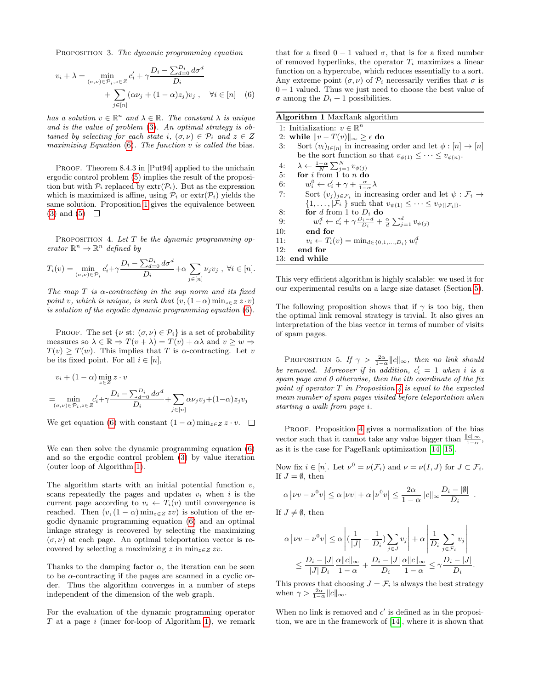PROPOSITION 3. The dynamic programming equation

$$
v_i + \lambda = \min_{(\sigma,\nu) \in \mathcal{P}_i, z \in Z} c'_i + \gamma \frac{D_i - \sum_{d=0}^{D_i} d\sigma^d}{D_i}
$$

$$
+ \sum_{j \in [n]} (\alpha \nu_j + (1 - \alpha) z_j) v_j, \quad \forall i \in [n] \quad (6)
$$

has a solution  $v \in \mathbb{R}^n$  and  $\lambda \in \mathbb{R}$ . The constant  $\lambda$  is unique and is the value of problem [\(3\)](#page-3-1). An optimal strategy is obtained by selecting for each state i,  $(\sigma, \nu) \in \mathcal{P}_i$  and  $z \in Z$ maximizing Equation  $(6)$ . The function  $v$  is called the bias.

PROOF. Theorem 8.4.3 in [Put94] applied to the unichain ergodic control problem [\(5\)](#page-3-2) implies the result of the proposition but with  $P_i$  replaced by  $extr(P_i)$ . But as the expression which is maximized is affine, using  $\mathcal{P}_i$  or  $\text{extr}(\mathcal{P}_i)$  yields the same solution. Proposition [1](#page-3-3) gives the equivalence between  $(3)$  and  $(5)$   $\Box$ 

<span id="page-4-2"></span>PROPOSITION 4. Let  $T$  be the dynamic programming operator  $\mathbb{R}^n \to \mathbb{R}^n$  defined by

$$
T_i(v) = \min_{(\sigma,\nu) \in \mathcal{P}_i} c'_i + \gamma \frac{D_i - \sum_{d=0}^{D_i} d\sigma^d}{D_i} + \alpha \sum_{j \in [n]} \nu_j v_j, \ \forall i \in [n].
$$

The map T is  $\alpha$ -contracting in the sup norm and its fixed point v, which is unique, is such that  $(v,(1-\alpha)\min_{z\in Z}z\cdot v)$ is solution of the ergodic dynamic programming equation [\(6\)](#page-4-0).

PROOF. The set  $\{v \text{ st: } (\sigma, v) \in \mathcal{P}_i\}$  is a set of probability measures so  $\lambda \in \mathbb{R} \Rightarrow T(v + \lambda) = T(v) + \alpha \lambda$  and  $v > w \Rightarrow$  $T(v) > T(w)$ . This implies that T is  $\alpha$ -contracting. Let v be its fixed point. For all  $i \in [n]$ ,

$$
v_i + (1 - \alpha) \min_{z \in Z} z \cdot v
$$
  
= 
$$
\min_{(\sigma,\nu) \in \mathcal{P}_i, z \in Z} c'_i + \gamma \frac{D_i - \sum_{d=0}^{D_i} d\sigma^d}{D_i} + \sum_{j \in [n]} \alpha \nu_j v_j + (1 - \alpha) z_j v_j
$$

We get equation [\(6\)](#page-4-0) with constant  $(1 - \alpha)$  min<sub>z∈Z</sub> z · v.  $\square$ 

We can then solve the dynamic programming equation [\(6\)](#page-4-0) and so the ergodic control problem [\(3\)](#page-3-1) by value iteration (outer loop of Algorithm [1\)](#page-4-1).

The algorithm starts with an initial potential function  $v$ , scans repeatedly the pages and updates  $v_i$  when i is the current page according to  $v_i \leftarrow T_i(v)$  until convergence is reached. Then  $(v,(1-\alpha)\min_{z\in\mathbb{Z}} zv)$  is solution of the ergodic dynamic programming equation [\(6\)](#page-4-0) and an optimal linkage strategy is recovered by selecting the maximizing  $(\sigma, \nu)$  at each page. An optimal teleportation vector is recovered by selecting a maximizing z in  $\min_{z \in Z} zv$ .

Thanks to the damping factor  $\alpha$ , the iteration can be seen to be  $\alpha$ -contracting if the pages are scanned in a cyclic order. Thus the algorithm converges in a number of steps independent of the dimension of the web graph.

For the evaluation of the dynamic programming operator  $T$  at a page  $i$  (inner for-loop of Algorithm [1\)](#page-4-1), we remark that for a fixed  $0 - 1$  valued  $\sigma$ , that is for a fixed number of removed hyperlinks, the operator  $T_i$  maximizes a linear function on a hypercube, which reduces essentially to a sort. Any extreme point  $(\sigma, \nu)$  of  $\mathcal{P}_i$  necessarily verifies that  $\sigma$  is 0 − 1 valued. Thus we just need to choose the best value of  $\sigma$  among the  $D_i + 1$  possibilities.

<span id="page-4-0"></span>

|  |  |  | Algorithm 1 MaxRank algorithm |  |
|--|--|--|-------------------------------|--|
|--|--|--|-------------------------------|--|

<span id="page-4-1"></span>1: Initialization:  $v \in \mathbb{R}^n$ 2: while  $||v - T(v)||_{\infty} \geq \epsilon$  do 3: Sort  $(v_l)_{l \in [n]}$  in increasing order and let  $\phi : [n] \to [n]$ be the sort function so that  $v_{\phi(1)} \leq \cdots \leq v_{\phi(n)}$ . 4:  $\lambda \leftarrow \frac{1-\alpha}{N} \sum_{j=1}^{N} v_{\phi(j)}$ 5: for  $i$  from  $1$  to  $n$  do 6:  $w_i^0 \leftarrow c_i' + \gamma + \frac{\alpha}{1-\alpha} \lambda$ 7: Sort  $(v_j)_{j \in \mathcal{F}_i}$  in increasing order and let  $\psi : \mathcal{F}_i \to$  $\{1,\ldots,\widetilde{|\mathcal{F}_i|\}}$  such that  $v_{\psi(1)} \leq \cdots \leq v_{\psi(|\mathcal{F}_i|)}.$ 8: **for** d from 1 to  $D_i$  do 9:  $w_i^d \leftarrow c_i' + \gamma \frac{D_i - d}{D_i} + \frac{\alpha}{d} \sum_{j=1}^d v_{\psi(j)}$ 10: end for 11:  $v_i \leftarrow T_i(v) = \min_{d \in \{0, 1, ..., D_i\}} w_i^d$ 12: end for 13: end while

This very efficient algorithm is highly scalable: we used it for our experimental results on a large size dataset (Section [5\)](#page-5-4).

The following proposition shows that if  $\gamma$  is too big, then the optimal link removal strategy is trivial. It also gives an interpretation of the bias vector in terms of number of visits of spam pages.

PROPOSITION 5. If  $\gamma > \frac{2\alpha}{1-\alpha} ||c||_{\infty}$ , then no link should be removed. Moreover if in addition,  $c'_i = 1$  when i is a spam page and 0 otherwise, then the ith coordinate of the fix point of operator  $T$  in Proposition  $\lambda$  is equal to the expected mean number of spam pages visited before teleportation when starting a walk from page i.

PROOF. Proposition [4](#page-4-2) gives a normalization of the bias vector such that it cannot take any value bigger than  $\frac{\|c\|_{\infty}}{1-\alpha}$ , as it is the case for PageRank optimization [\[14,](#page-7-12) [15\]](#page-7-15).

Now fix  $i \in [n]$ . Let  $\nu^0 = \nu(\mathcal{F}_i)$  and  $\nu = \nu(I, J)$  for  $J \subset \mathcal{F}_i$ . If  $J = \emptyset$ , then

$$
\alpha |\nu v - \nu^{0} v| \leq \alpha |\nu v| + \alpha |\nu^{0} v| \leq \frac{2\alpha}{1-\alpha} ||c||_{\infty} \frac{D_{i} - |\emptyset|}{D_{i}}.
$$

If  $J \neq \emptyset$ , then

$$
\alpha |\nu v - \nu^0 v| \leq \alpha \left| \left( \frac{1}{|J|} - \frac{1}{D_i} \right) \sum_{j \in J} v_j \right| + \alpha \left| \frac{1}{D_i} \sum_{j \in \mathcal{F}_i} v_j \right|
$$
  

$$
\leq \frac{D_i - |J|}{|J| D_i} \frac{\alpha ||c||_{\infty}}{1 - \alpha} + \frac{D_i - |J|}{D_i} \frac{\alpha ||c||_{\infty}}{1 - \alpha} \leq \gamma \frac{D_i - |J|}{D_i}.
$$

This proves that choosing  $J = \mathcal{F}_i$  is always the best strategy when  $\gamma > \frac{2\alpha}{1-\alpha} ||c||_{\infty}$ .

When no link is removed and  $c'$  is defined as in the proposition, we are in the framework of [\[14\]](#page-7-12), where it is shown that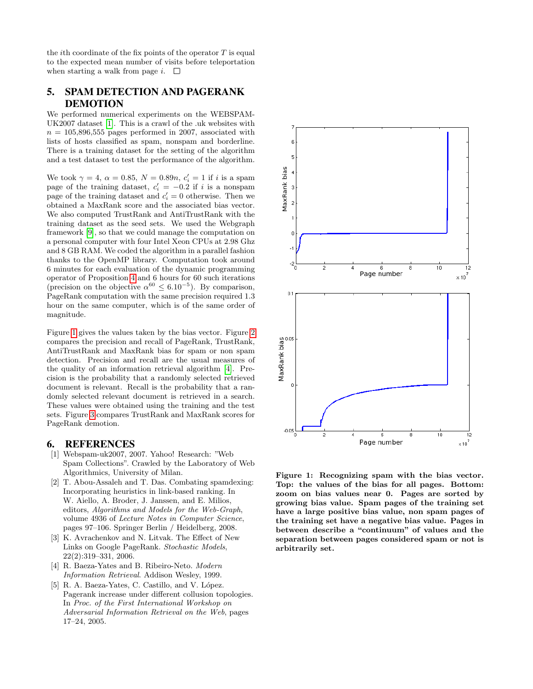the *i*th coordinate of the fix points of the operator  $T$  is equal to the expected mean number of visits before teleportation when starting a walk from page  $i$ .  $\square$ 

## <span id="page-5-4"></span>5. SPAM DETECTION AND PAGERANK DEMOTION

We performed numerical experiments on the WEBSPAM-UK2007 dataset [\[1\]](#page-5-3). This is a crawl of the .uk websites with  $n = 105,896,555$  pages performed in 2007, associated with lists of hosts classified as spam, nonspam and borderline. There is a training dataset for the setting of the algorithm and a test dataset to test the performance of the algorithm.

We took  $\gamma = 4$ ,  $\alpha = 0.85$ ,  $N = 0.89n$ ,  $c_i' = 1$  if i is a spam page of the training dataset,  $c_i' = -0.2$  if i is a nonspam page of the training dataset and  $c_i' = 0$  otherwise. Then we obtained a MaxRank score and the associated bias vector. We also computed TrustRank and AntiTrustRank with the training dataset as the seed sets. We used the Webgraph framework [\[9\]](#page-7-21), so that we could manage the computation on a personal computer with four Intel Xeon CPUs at 2.98 Ghz and 8 GB RAM. We coded the algorithm in a parallel fashion thanks to the OpenMP library. Computation took around 6 minutes for each evaluation of the dynamic programming operator of Proposition [4](#page-4-2) and 6 hours for 60 such iterations (precision on the objective  $\alpha^{60} \leq 6.10^{-5}$ ). By comparison, PageRank computation with the same precision required 1.3 hour on the same computer, which is of the same order of magnitude.

Figure [1](#page-5-5) gives the values taken by the bias vector. Figure [2](#page-6-0) compares the precision and recall of PageRank, TrustRank, AntiTrustRank and MaxRank bias for spam or non spam detection. Precision and recall are the usual measures of the quality of an information retrieval algorithm [\[4\]](#page-5-6). Precision is the probability that a randomly selected retrieved document is relevant. Recall is the probability that a randomly selected relevant document is retrieved in a search. These values were obtained using the training and the test sets. Figure [3](#page-6-1) compares TrustRank and MaxRank scores for PageRank demotion.

#### 6. REFERENCES

- <span id="page-5-3"></span>[1] Webspam-uk2007, 2007. Yahoo! Research: "Web Spam Collections". Crawled by the Laboratory of Web Algorithmics, University of Milan.
- <span id="page-5-1"></span>[2] T. Abou-Assaleh and T. Das. Combating spamdexing: Incorporating heuristics in link-based ranking. In W. Aiello, A. Broder, J. Janssen, and E. Milios, editors, Algorithms and Models for the Web-Graph, volume 4936 of Lecture Notes in Computer Science, pages 97–106. Springer Berlin / Heidelberg, 2008.
- <span id="page-5-2"></span>[3] K. Avrachenkov and N. Litvak. The Effect of New Links on Google PageRank. Stochastic Models, 22(2):319–331, 2006.
- <span id="page-5-6"></span>[4] R. Baeza-Yates and B. Ribeiro-Neto. Modern Information Retrieval. Addison Wesley, 1999.
- <span id="page-5-0"></span>[5] R. A. Baeza-Yates, C. Castillo, and V. López. Pagerank increase under different collusion topologies. In Proc. of the First International Workshop on Adversarial Information Retrieval on the Web, pages 17–24, 2005.



<span id="page-5-5"></span>Figure 1: Recognizing spam with the bias vector. Top: the values of the bias for all pages. Bottom: zoom on bias values near 0. Pages are sorted by growing bias value. Spam pages of the training set have a large positive bias value, non spam pages of the training set have a negative bias value. Pages in between describe a "continuum" of values and the separation between pages considered spam or not is arbitrarily set.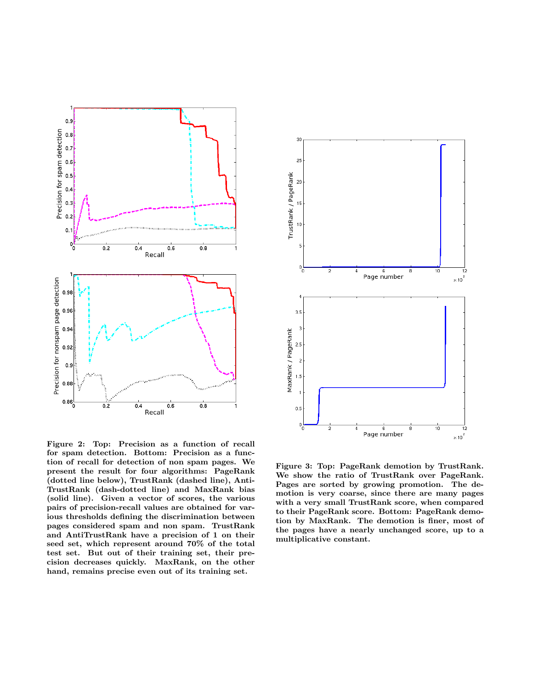

<span id="page-6-0"></span>Figure 2: Top: Precision as a function of recall for spam detection. Bottom: Precision as a function of recall for detection of non spam pages. We present the result for four algorithms: PageRank (dotted line below), TrustRank (dashed line), Anti-TrustRank (dash-dotted line) and MaxRank bias (solid line). Given a vector of scores, the various pairs of precision-recall values are obtained for various thresholds defining the discrimination between pages considered spam and non spam. TrustRank and AntiTrustRank have a precision of 1 on their seed set, which represent around 70% of the total test set. But out of their training set, their precision decreases quickly. MaxRank, on the other hand, remains precise even out of its training set.



<span id="page-6-1"></span>Figure 3: Top: PageRank demotion by TrustRank. We show the ratio of TrustRank over PageRank. Pages are sorted by growing promotion. The demotion is very coarse, since there are many pages with a very small TrustRank score, when compared to their PageRank score. Bottom: PageRank demotion by MaxRank. The demotion is finer, most of the pages have a nearly unchanged score, up to a multiplicative constant.